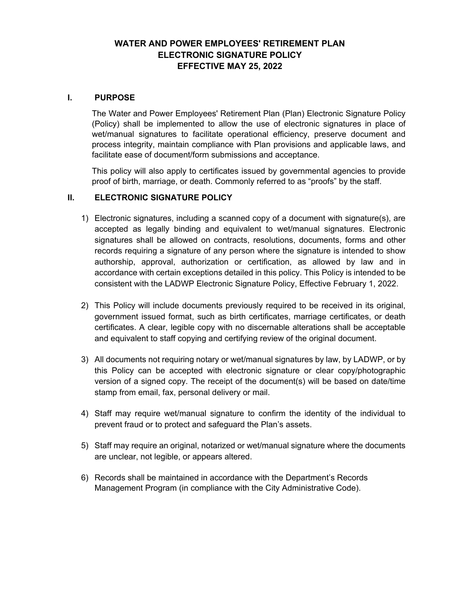## **WATER AND POWER EMPLOYEES' RETIREMENT PLAN ELECTRONIC SIGNATURE POLICY EFFECTIVE MAY 25, 2022**

#### **I. PURPOSE**

The Water and Power Employees' Retirement Plan (Plan) Electronic Signature Policy (Policy) shall be implemented to allow the use of electronic signatures in place of wet/manual signatures to facilitate operational efficiency, preserve document and process integrity, maintain compliance with Plan provisions and applicable laws, and facilitate ease of document/form submissions and acceptance.

This policy will also apply to certificates issued by governmental agencies to provide proof of birth, marriage, or death. Commonly referred to as "proofs" by the staff.

#### **II. ELECTRONIC SIGNATURE POLICY**

- 1) Electronic signatures, including a scanned copy of a document with signature(s), are accepted as legally binding and equivalent to wet/manual signatures. Electronic signatures shall be allowed on contracts, resolutions, documents, forms and other records requiring a signature of any person where the signature is intended to show authorship, approval, authorization or certification, as allowed by law and in accordance with certain exceptions detailed in this policy. This Policy is intended to be consistent with the LADWP Electronic Signature Policy, Effective February 1, 2022.
- 2) This Policy will include documents previously required to be received in its original, government issued format, such as birth certificates, marriage certificates, or death certificates. A clear, legible copy with no discernable alterations shall be acceptable and equivalent to staff copying and certifying review of the original document.
- 3) All documents not requiring notary or wet/manual signatures by law, by LADWP, or by this Policy can be accepted with electronic signature or clear copy/photographic version of a signed copy. The receipt of the document(s) will be based on date/time stamp from email, fax, personal delivery or mail.
- 4) Staff may require wet/manual signature to confirm the identity of the individual to prevent fraud or to protect and safeguard the Plan's assets.
- 5) Staff may require an original, notarized or wet/manual signature where the documents are unclear, not legible, or appears altered.
- 6) Records shall be maintained in accordance with the Department's Records Management Program (in compliance with the City Administrative Code).